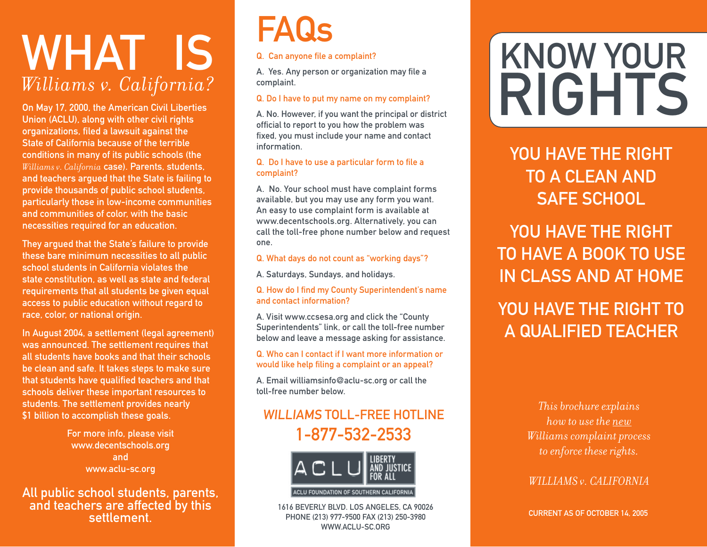# WHAT IS *Williams v. California?*

On May 17, 2000, the American Civil Liberties Union (ACLU), along with other civil rights organizations, filed a lawsuit against the State of California because of the terrible conditions in many of its public schools (the *Williams v. California* case). Parents, students, and teachers argued that the State is failing to provide thousands of public school students, particularly those in low-income communities and communities of color, with the basic necessities required for an education.

They argued that the State's failure to provide these bare minimum necessities to all public school students in California violates the state constitution, as well as state and federal requirements that all students be given equal access to public education without regard to race, color, or national origin.

In August 2004, a settlement (legal agreement) was announced. The settlement requires that all students have books and that their schools be clean and safe. It takes steps to make sure that students have qualified teachers and that schools deliver these important resources to students. The settlement provides nearly \$1 billion to accomplish these goals.

> For more info, please visit www.decentschools.org and www.aclu-sc.org

All public school students, parents, and teachers are affected by this settlement.

# FAQs

### Q. Can anyone file a complaint?

A. Yes. Any person or organization may file a complaint.

### Q. Do I have to put my name on my complaint?

A. No. However, if you want the principal or district official to report to you how the problem was fixed, you must include your name and contact information.

### Q. Do I have to use a particular form to file a complaint?

A. No. Your school must have complaint forms available, but you may use any form you want. An easy to use complaint form is available at www.decentschools.org. Alternatively, you can call the toll-free phone number below and request one.

### Q. What days do not count as "working days"?

A. Saturdays, Sundays, and holidays.

### Q. How do I find my County Superintendent's name and contact information?

A. Visit www.ccsesa.org and click the "County Superintendents" link, or call the toll-free number below and leave a message asking for assistance.

### Q. Who can I contact if I want more information or would like help filing a complaint or an appeal?

A. Email williamsinfo@aclu-sc.org or call the toll-free number below.

## WILLIAMS TOLL-FREE HOTLINE 1-877-532-2533



1616 BEVERLY BLVD. LOS ANGELES, CA 90026 PHONE (213) 977-9500 FAX (213) 250-3980 WWW.ACLU-SC.ORG

# RIGHTS KNOW YOUR

YOU HAVE THE RIGHT TO A CLEAN AND SAFE SCHOOL

YOU HAVE THE RIGHT TO HAVE A BOOK TO USE IN CLASS AND AT HOME

# YOU HAVE THE RIGHT TO A QUALIFIED TEACHER

*This brochure explains how to use the new Williams complaint process to enforce these rights.*

*WILLIAMS v. CALIFORNIA* 

CURRENT AS OF OCTOBER 14, 2005